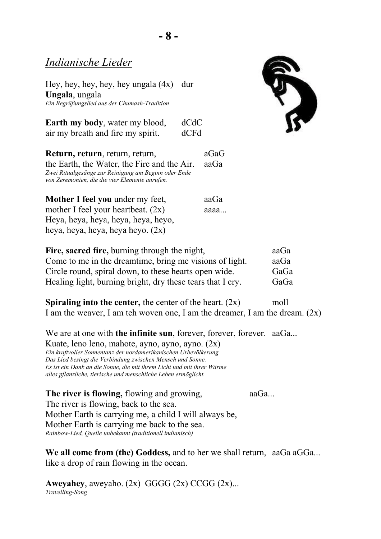# *Indianische Lieder*

Hey, hey, hey, hey, hey ungala (4x) dur **Ungala**, ungala *Ein Begrüßungslied aus der Chumash-Tradition*

| <b>Earth my body, water my blood,</b> | dCdC |
|---------------------------------------|------|
| air my breath and fire my spirit.     | dCFd |





| Mother I feel you under my feet,     | aaGa |
|--------------------------------------|------|
| mother I feel your heartbeat. $(2x)$ | aaaa |
| Heya, heya, heya, heya, heya, heyo,  |      |
| heya, heya, heya, heya heyo. (2x)    |      |

| Fire, sacred fire, burning through the night,              | aaGa |
|------------------------------------------------------------|------|
| Come to me in the dreamtime, bring me visions of light.    | aaGa |
| Circle round, spiral down, to these hearts open wide.      | GaGa |
| Healing light, burning bright, dry these tears that I cry. | GaGa |

**Spiraling into the center, the center of the heart. (2x)** moll I am the weaver, I am teh woven one, I am the dreamer, I am the dream.  $(2x)$ 

We are at one with **the infinite sun**, forever, forever, forever. aaGa...

Kuate, leno leno, mahote, ayno, ayno, ayno. (2x) *Ein kraftvoller Sonnentanz der nordamerikanischen Urbevölkerung. Das Lied besingt die Verbindung zwischen Mensch und Sonne. Es ist ein Dank an die Sonne, die mit ihrem Licht und mit ihrer Wärme alles pflanzliche, tierische und menschliche Leben ermöglicht.*

**The river is flowing,** flowing and growing, aaGa... The river is flowing, back to the sea. Mother Earth is carrying me, a child I will always be, Mother Earth is carrying me back to the sea. *Rainbow-Lied, Quelle unbekannt (traditionell indianisch)*

We all come from (the) Goddess, and to her we shall return, aaGa aGGa... like a drop of rain flowing in the ocean.

**Aweyahey**, aweyaho.  $(2x)$  GGGG  $(2x)$  CCGG  $(2x)$ ... *Travelling-Song*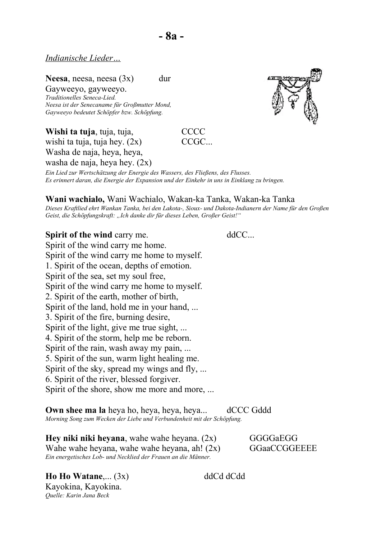#### *Indianische Lieder…*

**Neesa**, neesa, neesa (3x) dur

Gayweeyo, gayweeyo. *Traditionelles Seneca-Lied. Neesa ist der Senecaname für Großmutter Mond, Gayweeyo bedeutet Schöpfer bzw. Schöpfung.*

**Wishi ta tuja, tuja, tuja, componenta contra contra contra contra contra contra contra contra contra contra contra contra contra contra contra contra contra contra contra contra contra contra contra contra contra contra c** 

wishi ta tuja, tuja hey.  $(2x)$   $CCGC...$ Washa de naja, heya, heya,

washa de naja, heya hey. (2x)



*Ein Lied zur Wertschätzung der Energie des Wassers, des Fließens, des Flusses. Es erinnert daran, die Energie der Expansion und der Einkehr in uns in Einklang zu bringen.*

#### **Wani wachialo,** Wani Wachialo, Wakan-ka Tanka, Wakan-ka Tanka

*Dieses Kraftlied ehrt Wankan Tanka, bei den Lakota-, Sioux- und Dakota-Indianern der Name für den Großen*  Geist, die Schöpfungskraft: "Ich danke dir für dieses Leben, Großer Geist!"

**Spirit of the wind carry me.** ddCC... Spirit of the wind carry me home. Spirit of the wind carry me home to myself. 1. Spirit of the ocean, depths of emotion. Spirit of the sea, set my soul free, Spirit of the wind carry me home to myself. 2. Spirit of the earth, mother of birth, Spirit of the land, hold me in your hand, ... 3. Spirit of the fire, burning desire, Spirit of the light, give me true sight, ... 4. Spirit of the storm, help me be reborn. Spirit of the rain, wash away my pain, ... 5. Spirit of the sun, warm light healing me. Spirit of the sky, spread my wings and fly, ... 6. Spirit of the river, blessed forgiver. Spirit of the shore, show me more and more, ...

**Own shee ma la** heya ho, heya, heya, heya... dCCC Gddd *Morning Song zum Wecken der Liebe und Verbundenheit mit der Schöpfung.*

**Hey niki niki heyana**, wahe wahe heyana. (2x) GGGGaEGG Wahe wahe heyana, wahe wahe heyana, ah!  $(2x)$  GGaaCCGGEEEE *Ein energetisches Lob- und Necklied der Frauen an die Männer.*

**Ho Ho Watane**,... (3x) ddCd dCdd Kayokina, Kayokina. *Quelle: Karin Jana Beck*

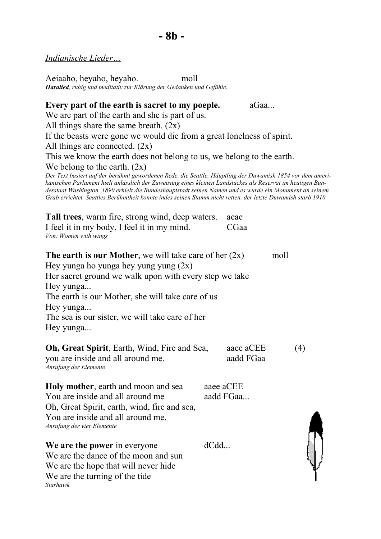*Indianische Lieder…*

Aeiaaho, heyaho, heyaho. moll *Haralied, ruhig und meditativ zur Klärung der Gedanken und Gefühle.*

## **Every part of the earth is sacret to my poeple.** aGaa... We are part of the earth and she is part of us. All things share the same breath.  $(2x)$ If the beasts were gone we would die from a great lonelness of spirit. All things are connected.  $(2x)$ This we know the earth does not belong to us, we belong to the earth. We belong to the earth.  $(2x)$ *Der Text basiert auf der berühmt gewordenen Rede, die Seattle, Häuptling der Duwamish 1854 vor dem amerikanischen Parlament hielt anlässlich der Zuweisung eines kleinen Landstückes als Reservat im heutigen Bundesstaat Washington. 1890 erhielt die Bundeshauptstadt seinen Namen und es wurde ein Monument an seinem Grab errichtet. Seattles Berühmtheit konnte indes seinen Stamm nicht retten, der letzte Duwamish starb 1910.* **Tall trees**, warm fire, strong wind, deep waters. aeae I feel it in my body, I feel it in my mind. CGaa *Von: Women with wings* **The earth is our Mother**, we will take care of her  $(2x)$  moll Hey yunga ho yunga hey yung yung  $(2x)$ Her sacret ground we walk upon with every step we take

Hey yunga...

The earth is our Mother, she will take care of us

Hey yunga...

The sea is our sister, we will take care of her

Hey yunga...

| <b>Oh, Great Spirit, Earth, Wind, Fire and Sea,</b> | aaee aCEE | (4) |
|-----------------------------------------------------|-----------|-----|
| you are inside and all around me.                   | aadd FGaa |     |
| Anrufung der Elemente                               |           |     |

**Holy mother**, earth and moon and sea ace aCEE You are inside and all around me aadd FGaa... Oh, Great Spirit, earth, wind, fire and sea, You are inside and all around me. *Anrufung der vier Elemente*

**We are the power** in everyone dCdd... We are the dance of the moon and sun We are the hope that will never hide We are the turning of the tide *Starhawk*

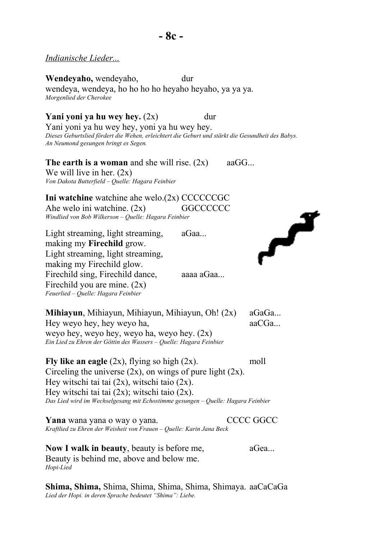### *Indianische Lieder...*

**Wendeyaho,** wendeyaho, dur wendeya, wendeya, ho ho ho ho heyaho heyaho, ya ya ya. *Morgenlied der Cherokee*

**Yani yoni ya hu wey hey.** (2x) dur

Yani yoni ya hu wey hey, yoni ya hu wey hey. *Dieses Geburtslied fördert die Wehen, erleichtert die Geburt und stärkt die Gesundheit des Babys. An Neumond gesungen bringt es Segen.*

**The earth is a woman** and she will rise.  $(2x)$  aaGG... We will live in her.  $(2x)$ *Von Dakota Butterfield – Quelle: Hagara Feinbier*

**Ini watchine** watchine ahe welo.(2x) CCCCCCGC Ahe welo ini watchine.  $(2x)$  GGCCCCCC *Windlied von Bob Wilkerson – Quelle: Hagara Feinbier*

Light streaming, light streaming, aGaa... making my **Firechild** grow. Light streaming, light streaming, making my Firechild glow. Firechild sing, Firechild dance, aaaa aGaa... Firechild you are mine. (2x) *Feuerlied – Quelle: Hagara Feinbier*

تمم

**Mihiayun**, Mihiayun, Mihiayun, Mihiayun, Oh! (2x) aGaGa... Hey weyo hey, hey weyo ha, aaCGa... weyo hey, weyo hey, weyo ha, weyo hey. (2x) *Ein Lied zu Ehren der Göttin des Wassers – Quelle: Hagara Feinbier*

**Fly like an eagle** (2x), flying so high (2x). moll Circeling the universe  $(2x)$ , on wings of pure light  $(2x)$ . Hey witschi tai tai  $(2x)$ , witschi taio  $(2x)$ . Hey witschi tai tai  $(2x)$ ; witschi taio  $(2x)$ . *Das Lied wird im Wechselgesang mit Echostimme gesungen – Quelle: Hagara Feinbier*

**Yana** wana yana o way o yana. CCCC GGCC *Kraftlied zu Ehren der Weisheit von Frauen – Quelle: Karin Jana Beck*

**Now I walk in beauty**, beauty is before me,  $\qquad \qquad$  aGea... Beauty is behind me, above and below me. *Hopi-Lied*

**Shima, Shima,** Shima, Shima, Shima, Shima, Shimaya. aaCaCaGa *Lied der Hopi. in deren Sprache bedeutet "Shima": Liebe.*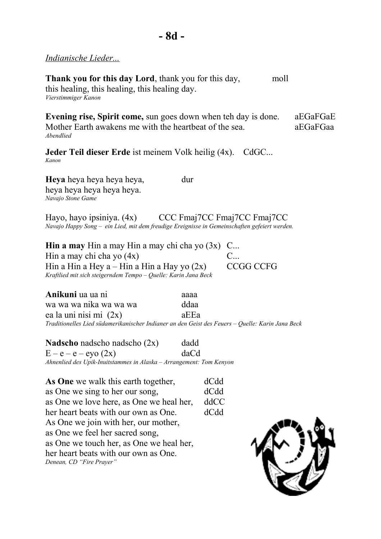*Indianische Lieder...*

**Thank you for this day Lord**, thank you for this day, moll this healing, this healing, this healing day.

*Vierstimmiger Kanon*

**Evening rise, Spirit come,** sun goes down when teh day is done. a EGaFGaE Mother Earth awakens me with the heartbeat of the sea.  $\qquad \qquad$ aEGaFGaa *Abendlied*

**Jeder Teil dieser Erde** ist meinem Volk heilig (4x). CdGC... *Kanon*

**Heya** heya heya heya heya, dur heya heya heya heya heya. *Navajo Stone Game*

Hayo, hayo ipsiniya. (4x) CCC Fmaj7CC Fmaj7CC Fmaj7CC *Navajo Happy Song – ein Lied, mit dem freudige Ereignisse in Gemeinschaften gefeiert werden.*

**Hin a may** Hin a may Hin a may chi cha yo  $(3x)$  C... Hin a may chi cha yo  $(4x)$  C... Hin a Hin a Hey  $a -$ Hin a Hin a Hay yo  $(2x)$  CCGG CCFG *Kraftlied mit sich steigerndem Tempo – Quelle: Karin Jana Beck*

**Anikuni** ua ua ni aaaa wa wa wa nika wa wa wa ddaa ea la uni nisi mi (2x) aEEa *Traditionelles Lied südamerikanischer Indianer an den Geist des Feuers – Quelle: Karin Jana Beck*

**Nadscho** nadscho nadscho (2x) dadd  $E - e - e - eV$  (2x) daCd *Ahnenlied des Upik-Inuitstammes in Alaska – Arrangement: Tom Kenyon*

As One we walk this earth together, dCdd as One we sing to her our song, dCdd as One we love here, as One we heal her, ddCC her heart beats with our own as One. dCdd As One we join with her, our mother, as One we feel her sacred song, as One we touch her, as One we heal her, her heart beats with our own as One. *Denean, CD "Fire Prayer"*

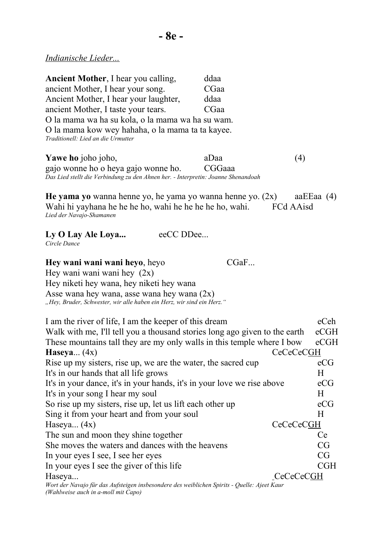*Indianische Lieder...*

| <b>Ancient Mother, I hear you calling,</b><br>ancient Mother, I hear your song.<br>Ancient Mother, I hear your laughter,<br>ancient Mother, I taste your tears.<br>O la mama wa ha su kola, o la mama wa ha su wam.<br>O la mama kow wey hahaha, o la mama ta ta kayee.<br>Traditionell: Lied an die Urmutter                                                                                                                                           | ddaa<br>CGaa<br>ddaa<br>CGaa |                                                                                      |
|---------------------------------------------------------------------------------------------------------------------------------------------------------------------------------------------------------------------------------------------------------------------------------------------------------------------------------------------------------------------------------------------------------------------------------------------------------|------------------------------|--------------------------------------------------------------------------------------|
| Yawe ho joho joho,<br>gajo wonne ho o heya gajo wonne ho.<br>Das Lied stellt die Verbindung zu den Ahnen her. - Interpretin: Joanne Shenandoah                                                                                                                                                                                                                                                                                                          | aDaa<br>CGGaaa               | (4)                                                                                  |
| He yama yo wanna henne yo, he yama yo wanna henne yo. $(2x)$<br>Wahi hi yayhana he he he ho, wahi he he he he ho, wahi.<br>Lied der Navajo-Shamanen                                                                                                                                                                                                                                                                                                     |                              | aa $EE$ aa $(4)$<br>FCd AAisd                                                        |
| eeCC DDee<br>Ly O Lay Ale Loya<br>Circle Dance                                                                                                                                                                                                                                                                                                                                                                                                          |                              |                                                                                      |
| Hey wani wani wani heyo, heyo<br>Hey wani wani wani hey $(2x)$<br>Hey niketi hey wana, hey niketi hey wana<br>Asse wana hey wana, asse wana hey wana $(2x)$<br>"Hey, Bruder, Schwester, wir alle haben ein Herz, wir sind ein Herz."                                                                                                                                                                                                                    | CGaF                         |                                                                                      |
| I am the river of life, I am the keeper of this dream<br>Walk with me, I'll tell you a thousand stories long ago given to the earth<br>These mountains tall they are my only walls in this temple where I bow<br>Haseya $(4x)$<br>Rise up my sisters, rise up, we are the water, the sacred cup<br>It's in our hands that all life grows<br>It's in your dance, it's in your hands, it's in your love we rise above<br>It's in your song I hear my soul |                              | eCeh<br>eCGH<br>$e$ CGH<br>CeCeCeCGH<br>eCG<br>Η<br>eCG<br>$\boldsymbol{\mathrm{H}}$ |
| So rise up my sisters, rise up, let us lift each other up<br>Sing it from your heart and from your soul                                                                                                                                                                                                                                                                                                                                                 |                              | eCG<br>$\boldsymbol{\mathrm{H}}$                                                     |
| Haseya $(4x)$                                                                                                                                                                                                                                                                                                                                                                                                                                           |                              | CeCeCeCGH                                                                            |
| The sun and moon they shine together                                                                                                                                                                                                                                                                                                                                                                                                                    |                              | Ce                                                                                   |
| She moves the waters and dances with the heavens                                                                                                                                                                                                                                                                                                                                                                                                        |                              | CG<br>CG                                                                             |
| In your eyes I see, I see her eyes<br>In your eyes I see the giver of this life                                                                                                                                                                                                                                                                                                                                                                         |                              | CGH                                                                                  |
| Haseya                                                                                                                                                                                                                                                                                                                                                                                                                                                  |                              | _CeCeCeCGH                                                                           |
| Wort der Navajo für das Aufsteigen insbesondere des weiblichen Spirits - Quelle: Ajeet Kaur<br>(Wahlweise auch in a-moll mit Capo)                                                                                                                                                                                                                                                                                                                      |                              |                                                                                      |